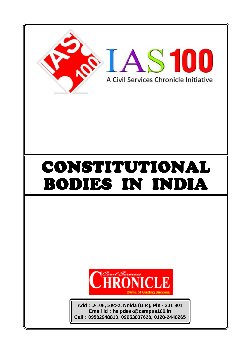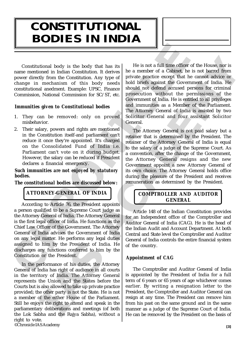# **CONSTITUTIONAL BODIES IN INDIA**

Constitutional body is the body that has its name mentioned in Indian Constitution. It derives power directly from the Constitution. Any type of change in mechanism of this body needs constitutional anedment. Example: UPSC, Finance Commission, National Commission for SC/ST, etc.

#### *Immunities given to Constitutional bodies*

- 1. They can be removed: only on proved misbehavior.
- 2. Their salary, powers and rights are mentioned in the Constitution itself-and parliament can't reduce it once they're appointed. It's charged on the Consolidated Fund of India i.e. Parliament can't vote on it during budget. However, the salary can be reduced if President declares a financial emergency.

#### *Such immunities are not enjoyed by statutory bodies.*

#### *The constitutional bodies are discussed below:*

# **ATTORNEY-GENERAL OF INDIA**

Constitutional body is the body that has its internal in the member of a Cabinely he power directly from the Construction. At derives being the construction and chemen of a Cabinely construction and chemen of this body nee According to Article 76, the President appoints a person qualified to be a Supreme Court judge as the Attorney General of India. The Attorney General is the first legal officer of India. He functions as the Chief Law Officer of the Government. The Attorney General of India advises the Government of India on any legal matter. He performs any legal duties assigned to him by the President of India. He discharges any functions conferred to him by the Constitution or the President.

©Chronicle IAS Academy In the performance of his duties, the Attorney General of India has right of audience in all courts in the territory of India. The Attorney General represents the Union and the States before the Courts but is also allowed to take up private practice provided; the other party is not the State. He is not a member of the either House of the Parliament. Still he enjoys the right to attend and speak in the parliamentary deliberations and meetings (of both the Lok Sabha and the Rajya Sabha), without a right to vote.

trional body is the hody hat has its  $|$  be is not a full time office of the House, nor is our during constitution. It derives be a metallion of dividual for a metallion constitution,  $\Delta$  metallion (and in the case of a He is not a full time officer of the House, nor is he a member of a Cabinet, he is not barred from private practice except that he cannot advice or hold briefs against the Government of India. He should not defend accused persons for criminal prosecution without the permissions of the Government of India. He is entitled to all privileges and immunities as a Member of the Parliament. The Attorney General of India is assisted by two Solicitor General and four assistant Solicitor General.

**IAS ACADEMY** A CIVIL SERVICES CHRONICLE INITIATIVE

The Attorney General is not paid salary but a retainer that is determined by the President. The retainer of the Attorney General of India is equal to the salary of a judge of the Supreme Court. As a convention, after the change of the Government, the Attorney General resigns and the new Government appoint a new Attorney General of its own choice. The Attorney General holds office during the pleasure of the President and receives remuneration as determined by the President.

## **COMPTROLLER AND AUDITOR GENERAL**

Article 148 of the Indian Constitution provides for an Independent office of the Comptroller and Auditor General of India (CAG). He is the head of the Indian Audit and Account Department. At both Central and State level the Comptroller and Auditor General of India controls the entire financial system of the country.

#### *Appointment of CAG*

The Comptroller and Auditor General of India is appointed by the President of India for a full term of 6 years or 65 years of age whichever comes earlier. By writing a resignation letter to the President, the Comptroller and Auditor General can resign at any time. The President can remove him from his past on the same ground and in the same manner as a judge of the Supreme Court of India. He can be removed by the President on the basis of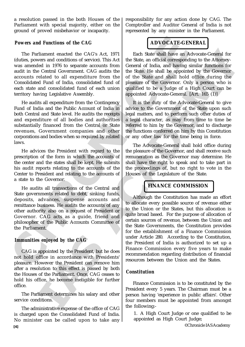a resolution passed in the both Houses of the Parliament with special majority, either on the ground of proved misbehavior or incapacity.

#### *Powers and Functions of the CAG*

The Parliament enacted the CAG's Act, 1971 (duties, powers and conditions of service). This Act was amended in 1976 to separate accounts from audit in the Central Government. CAG audits the accounts related to all expenditure from the Consolidated Fund of India, consolidated fund of each state and consolidated fund of each union territory having Legislative Assembly.

He audits all expenditure from the Contingency Fund of India and the Public Account of India in both Central and State level. He audits the receipts and expenditure of all bodies and authorities substantially financed from the Central or State revenues, Government companies and other corporations and bodies when so required by related laws.

He advices the President with regard to the prescription of the form in which the accounts of the center and the states shall be kept. He submits his audit reports relating to the accounts of the Center to President and relating to the accounts of a state to the Governor.

**Powers and Functions of the CAG Examplement and ted CAG CAG CAG** (and the control of service). This Act the State shall have an A was amended in 1976 to separate accounts from General of India, and having successib He audits all transactions of the Central and State governments related to debt, sinking funds, deposits, advances, suspense accounts and remittance business. He audits the accounts of any other authority also on a request of President or Governor. CAG acts as a guide, friend and philosopher of the Public Accounts Committee of the Parliament.

## *Immunities enjoyed by the CAG*

CAG is appointed by the President, but he does not hold office in accordance with Presidents' pleasure. However the President can remove him after a resolution to this effect is passed by both the Houses of the Parliament. Once, CAG ceases to hold his office, he become ineligible for further office.

The Parliament determines his salary and other service conditions.

The administrative expense of the office of CAG is charged upon the Consolidated Fund of India. No minister can be called upon to take any responsibility for any action done by CAG. The Comptroller and Auditor General of India is not represented by any minister in the Parliament.

# **ADVOCATE-GENERAL**

Each State shall have an Advocate-General for the State, an official corresponding to the Attorney-General of India, and having similar functions for the State. He shall be appointed by the Governor of the State and shall hold office during the pleasure of the Governor. Only a person who is qualified to be a Judge of a High Court can be appointed Advocate-General. [Art. 165 (1)]

It is the duty of the Advocate-General to give advice to the Government of the State upon such legal matters, and to perform such other duties of a legal character, as may from time to time be referred to him by the Governor, and to discharge the functions conferred on him by this Constitution or any other law for the time being in force.

The Advocate-General shall hold office during the pleasure of the Governor, and shall receive such remuneration as the Governor may determine. He shall have the right to speak and to take part in the proceedings of, but no right to vote in the Houses of the Legislature of the State.

# **FINANCE COMMISSION**

Hament enarged the CAG's Act, 1971<br>
and base thall have an Advocate-General for-<br>
reason of such as the distance of strength and distance and the base of the contents of the contents<br>
of counter General Covernment CAG and Although the Constitution has made an effort to allocate every possible source of revenue either to the Union or the States, but this allocation is quite broad based. For the purpose of allocation of certain sources of revenue, between the Union and the State Governments, the Constitution provides for the establishment of a Finance Commission under Article 280. According to the Constitution, the President of India is authorized to set up a Finance Commission every five years to make recommendation regarding distribution of financial resources between the Union and the States.

# *Constitution*

Finance Commission is to be constituted by the President every 5 years. The Chairman must be a person having 'experience in public affairs'. Other four members must be appointed from amongst the following:-

1. A High Court Judge or one qualified to be appointed as High Court Judge;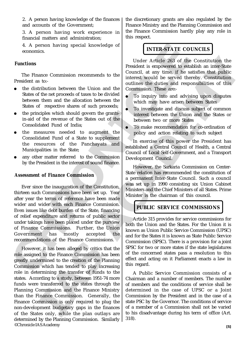2. A person having knowledge of the finances and accounts of the Government;

3. A person having work experience in financial matters and administration;

4. A person having special knowledge of economics.

#### *Functions*

The Finance Commission recommends to the President as to:-

- the distribution between the Union and the States of the net proceeds of taxes to be divided between them and the allocation between the States of respective shares of such proceeds;
- the principles which should govern the grantsin-aid of the revenue of the States out of the Consolidated Fund of India;
- the measures needed to augment the Consolidated Fund of a State to supplement the resources of the Panchayats and Municipalities in the State;
- any other matter referred to the Commission by the President in the interest of sound finance.

#### *Assessment of Finance Commission*

4. A person having special knowledge of<br>
conomics.<br>
The Finance Commission recommends to the council, at any time, if he si<br>
reached in Section Commission and the council, at any time, if he simple<br>
The Finance Commission Ever since the inauguration of the Constitution, thirteen such Commissions have been set up. Year after year the terms of reference have been made wider and wider with each Finance Commission. Even issues like debt burden of the State, financing of relief expenditure and returns of public sector under takings have been placed under the purview of Finance Commissions. Further, the Union Government has mostly accepted the recommendations of the Finance Commissions.

©Chronicle IAS Academy Leader Commission recommends to the  $\frac{1}{2}$  Council at any turn of the Canatistic<br>and President is encoded to evolved at a proposed of establish an inter-State<br>intervent to the Council at any turn at the academic politi However, it has been alleged by critics that the role assigned to the Finance Commission has been greatly undermined to the creation of the Planning Commission which has tended to play increasing role in determining the transfer of funds to the states. According to a study, between 1951-74 more funds were transferred to the states through the Planning Commission and the Finance Ministry than the Finance Commission. Generally, the Finance Commission is only required to plug the non-development budgetary gaps in the finances of the States only, while the plan outlays are determined by the Planning Commission. Similarly

the discretionary grants are also regulated by the Finance Ministry and the Planning Commission and the Finance Commission hardly play any role in this respect.

# **INTER-STATE COUNCILS**

Under Article 263 of the Constitution the President is empowered to establish an inter-State Council, at any time, if he satisfies that public interest would be served thereby. Constitution outlines the duties and responsibilities of this Commission. These are:-

- To inquiry into and advising upon disputes which may have arisen between States
- To investigate and discuss subject of common interest between the Union and the States or between two or more States
- To make recommendation for co-ordination of policy and action relating to such subject

In exercise of this power the President has established a Central Council of Health, a Central Council of Local Self-Government, and a Transport Development Council.

However, the Sarkaria Commission on Center-State relation has recommended the constitution of a permanent Inter-State Council. Such a council was set up in 1990 consisting six Union Cabinet Ministers and the Chief Ministers of all States. Prime Minister is the chairman of this council.

# **PUBLIC SERVICE COMMISSIONS**

Article 315 provides for service commissions for both the Union and the States. For the Union it is known as Union Public Service Commission (UPSC) and for the States it is known as State Public Service Commission (SPSC). There is a provision for a joint SPSC for two or more states if the state legislatures of the concerned states pass a resolution to this effect and acting on it Parliament enacts a law in this regard.

A Public Service Commission consists of a Chairman and a number of members. The number of members and the conditions of service shall be determined in the case of UPSC or a Joint Commission by the President and in the case of a state PSC by the Governor. The conditions of service of a member of a Commission shall not be varied to his disadvantage during his term of office (Art. 318).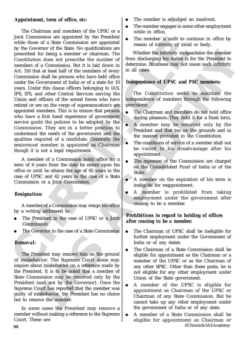#### *Appointment, term of office, etc:*

Joint Commission are appointed by the President H<br>
with the cose of a State Commission are appointed<br>
by the Governor of the State. Non qualifications are<br>
verschied for being a member or chairman. The<br>
constraining the m EVEN the base to quantized the informal with the informal with the informal of the signal of the signal method in the signal distance of the signal method in the signal of the signal of the signal of the signal of the sig The Chairman and members of the UPSC or a Joint Commission are appointed by the President while those of a State Commission are appointed by the Governor of the State. No qualifications are prescribed for being a member or chairman. The Constitution does not prescribe the number of members of a Commission. But it is laid down in Art. 316 that at least half of the members of every Commission shall be persons who have held office under the Government of India or of a state for 10 years. Under this clause officers belonging to IAS, IPS, IFS, and other Central Services serving the Union and officers of the armed forces who have retired or are on the verge of superannuation's are appointed members. This is to ensure that persons who have a first hand experience of government service guide the policies to be adopted by the Commission. They are in a better position to understand the needs of the government and the qualities required of a candidate. Generally the seniormost member is appointed as Chairman though it is not a legal requirement.

A member of a Commission holds office for a term of 6 years from the date he enters upon his office or until he attains the age of 65 years in the case of UPSC and 62 years in the case of a State Commission or a Joint Commission.

## *Resignation:*

A member of a Commission may resign his office by a writing addressed to:

- The President in the case of UPSC or a Joint Commission
- The Governor in the case of a State Commission

#### *Removal:*

The President may remove him on the ground of misbehavior. The Supreme Court alone may inquire about misbehavior on a reference made by the President. It is to be noted that a member of State Commission may be removed only by the President (and not by the Governor). Once the Supreme Court has reported that the member was guilty of misbehavior, the President has no choice but to remove the member.

In some cases the President may remove a member without making a reference to the Supreme Court. These are:

- The member is adjudged an insolvent,
- The member engages in some other employment while in office,
- The member is unfit to continue in office by reason of infirmity of mind or body.

Whether the infirmity incapacitates the member from discharging his duties is for the President to determine. Blindness may not cause such infirmity in all cases.

#### *Independence of UPSC and PSC members:*

The Constitution seeks to maintain the independence of members through the following provisions:

- The Chairman and members do not hold office during pleasure. They hold it for a fixed term.
- A member may be removed only by the President and that too on the grounds and in the manner provided in the Constitution.
- The conditions of service of a member shall not be varied to his disadvantage after his appointment.
- The expenses of the Commission are charged on the Consolidated Fund of India or of the State.
- A member on the expiration of his term is ineligible for reappointment.
- A member is prohibited from taking employment under the government after ceasing to be a member.

#### *Prohibitions in regard to holding of offices after ceasing to be a member:*

- The Chairman of UPSC shall be ineligible for further employment under the Government of India or of any states.
- The Chairman of a State Commission shall be eligible for appointment as the Chairman or a member of the UPSC or as the Chairman of any other SPSC. Other than these posts, he is not eligible for any other employment under Union of the State government.
- A member of the UPSC is eligible for appointment as Chairman of the UPSC or Chairman of any State Commission. But he cannot take up any other employment under the government of India or of any state.
- ©Chronicle IAS Academy ● A member of a State Commission shall be eligible for appointment as Chairman or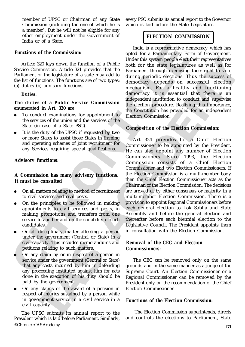member of UPSC or Chairman of any State Commission (including the one of which he is a member). But he will not be eligible for any other employment under the Government of India or of a State.

#### *Functions of the Commission:*

Article 320 lays down the function of a Public Service Commission. Article 321 provides that the Parliament or the legislature of a state may add to the list of functions. The functions are of two types: (a) duties (b) advisory functions.

#### *Duties:*

**The duties of a Public Service Commission enumerated in Art. 320 are:**

- To conduct examinations for appointment to the services of the union and the services of the State (in case of a State PSC).
- It is the duty of the UPSC if requested by two or more States to assist those States in framing and operating schemes of joint recruitment for any Services requiring special qualifications.

#### *Advisory functions:*

#### **A Commission has many advisory functions. It must be consulted**

- On all matters relating to method of recruitment to civil services and civil posts.
- On the principles to be followed in making appointments to civil services and posts, in making promotions and transfers from one service to another and on the suitability of such candidates.
- On all disciplinary matter affecting a person under the government (Central or State) in a civil capacity. This includes memorandums and petitions relating to such matters.
- On any claim by or in respect of a person in service under the government (Central or State) that any costs incurred by him in defending any proceeding instituted against him for acts done in the execution of his duty should be paid by the government.
- On any claims of the award of a pension in respect of injuries sustained by a person while in government service in a civil service in a civil capacity.

©Chronicle IAS Academy The UPSC submits its annual report to the President which is laid before Parliament. Similarly, every PSC submits its annual report to the Governor which is laid before the State Legislature.

# **ELECTION COMMISSION**

India is a representative democracy which has opted for a Parliamentary Form of Government. Under this system people elect their representatives both for the state legislatures as well as for Parliament through exercising their right to vote during periodic elections. Thus the success of democracy depends on successful election mechanism. For a healthy and functioning democracy it is essential that there is an independent institution to conduct and supervise the election procedure. Realizing this importance, the Constitution has provided for an independent Election Commission.

#### *Composition of the Election Commission:*

**Functions of the Commission:**<br>
Andia is a representative de<br>
Network (see the spatial continuous and the spatial continuous and the base increase continuous continuous and the base increase of two density of the state le 20 lays down the function of a Public binder like system people deed their tryencollations.<br>
The legislations of the legislations of the legislations of the legislations of the legislations of the legislations of the legi Art 324 provides for a Chief Election Commissioner to be appointed by the President. He can also appoint any number of Election Commissioners. Since 1993, the Election Commission consists of a Chief Election Commissioner and two Election Commissioners. If the Election Commission is a multi-member body then the Chief Election Commissioner acts as the Chairman of the Election Commission. The decisions are arrived at by either consensus or majority in a multi-member Election Commission. There is a provision to appoint Regional Commissioners before each general election to Lok Sabha and State Assembly and before the general election and thereafter before each biennial election to the Legislative Council. The President appoints them in consultation with the Election Commission.

#### *Removal of the CEC and Election Commissioners:*

The CEC can be removed only on the same grounds and in the same manner as a judge of the Supreme Court. An Election Commissioner or a Regional Commissioner can be removed by the President only on the recommendation of the Chief Election Commissioner.

#### *Functions of the Election Commission:*

 The Election Commission superintends, directs and controls the elections to Parliament, State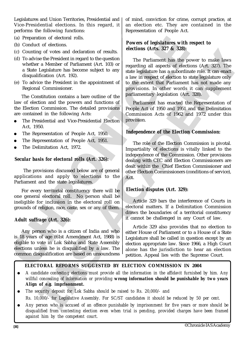Legislatures and Union Territories, Presidential and Vice-Presidential elections. In this regard, it performs the following functions:

- (a) Preparation of electoral rolls.
- (b) Conduct of elections.
- (c) Counting of votes and declaration of results.
- (d) To advise the President in regard to the question whether a Member of Parliament (Art. 103) or a State Legislature has become subject to any disqualification (Art. 192).
- (e) To advice the President in the appointment of Regional Commissioner.

The Constitution contains a bare outline of the law of election and the powers and functions of the Election Commission. The detailed provisions are contained in the following Acts:

- The Presidential and Vice-Presidential Election Act, 1950.
- The Representation of People Act, 1950.
- The Representation of People Act, 1951.
- The Delimitation Act, 1972.

#### *Secular basis for electoral rolls (Art. 326):*

 The provisions discussed below are of general applications and apply to elections to the Parliament and the state legislatures.

For every territorial constituency there will be one general electoral roll. No person shall be ineligible for inclusion in the electoral roll on grounds of religion, race, caste, sex or any of them.

#### *Adult suffrage (Art. 326):*

(a) Proparation of electronal rolls (and Hecharal Rowers of legislatures with (c) Counting of votes and declaration of results.<br>
(d) Counting of votes and declaration of results. We can be electronas (Arts. 327 & 329):<br>
( Any person who is a citizen of India and who is 18 years of age (61st Amendment Act, 1988) is eligible to vote in Lok Sabha and State Assembly elections unless he is disqualified by a law. The common disqualification are based on unsoundness

of mind, conviction for crime, corrupt practice, at an election etc. They are contained in the Representation of People Act.

#### *Powers of legislatures with respect to elections (Arts. 327 & 328):*

If of voice and declaration of results. **EVALUATY ACCONDITY (ACCONDITY)** and the partial method of the partial method of the system is a subsection (Act 139). The partial method of the system is a subsection of the system The Parliament has the power to make laws regarding all aspects of elections (Art. 327). The state legislature has a subordinate role. It can enact a law in respect of election to state legislature only to the extent that Parliament has not made any provisions. In other words it can supplement parliamentary legislation (Art. 328).

Parliament has enacted the Representation of People Act of 1950 and 1951 and the Delimitation Commission Acts of 1962 and 1972 under this provision.

#### *Independence of the Election Commission:*

The role of the Election Commission is pivotal. Impartiality of elections is vitally linked to the independence of the Commission. Other provisions dealing with CEC and Election Commissioners are dealt within the Chief Election Commissioner and other Election Commissioners (conditions of service), Act.

#### *Election disputes (Art. 329):*

Article 329 bars the interference of Courts in electoral matters. If a Delimitation Commission draws the boundaries of a territorial constituency it cannot be challenged in any Court of law.

Article 329 also provides that no election to either House of Parliament or to a House of a State Legislature shall be called in question except by an election appropriate law. Since 1966, a High Court alone has the jurisdiction to hear an election petition. Appeal lies with the Supreme Court.

#### **ELECTORAL REFORMS SUGGESTED BY ELECTION COMMISSION IN 2004**

- *A candidate contesting elections must provide all the information in the affidavit furnished by him. Any willful concealing of information or providing wrong information should be punishable by two years Align of e.g. imprisonment.*
- *The security deposit for Lok Sabha should be raised to Rs. 20,000/- and Rs. 10,000/- for Legislative Assembly. For SC/ST candidates it should be reduced by 50 per cent.*
- *Any person who is accused of an offence punishable by imprisonment for five years or more should be disqualified from contesting election even when trial is pending, provided charges have been framed against him by the competent court.*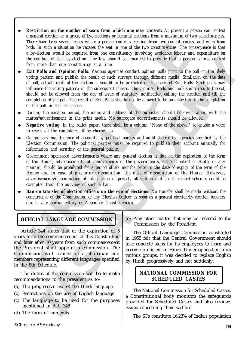- **Restriction on the number of seats from which one may contest:** At present a person can contest *a general election or a group of bye-elections or biennial elections from a maximum of two constituencies. There have been several cases where a person contests election from two constituencies, and wins from both. In such a situation he vacates the seat in one of the two constituencies. The consequence is that a by-election would be required from one constituency involving avoidable labour and expenditure on the conduct of that by-election. The law should be amended to provide that a person cannot contest from more than one constituency at a time.*
- both. In such a situation be vecates the seat in one of the two consitteneries. The car<br>by election would be required from one consittenery movies are able conduct of that by election. The law should no ance<br>conduct of th and or distant by decision. The have should be simetable to guesside dlat a genou cannot coniest<br>when then are constituency at a time.<br>
Yours axe of the constituency at a time and Optimizary and the simulation of the pair ● *Exit Polls and Opinion Polls: Various agencies conduct opinion polls prior to the poll on the likely voting pattern and publish the result of such surveys through different media. Similarly, on the date of poll, actual result of the election is sought to be predicted on the basis of Exit Polls. Such polls may influence the voting pattern in the subsequent phases. The Opinion Polls and publishing results thereof, should not be allowed from the day of issue of statutory notification calling the election and till the completion of the poll. The result of Exit Polls should not be allowed to be published until the completion of the poll in the last phase.*
	- *During the election period, the name and address of the publisher should be given along with the matter/advertisement in the print media. No surrogate advertisements should be allowed.*
	- *Negative voting:* In the ballot paper, there shall be a column "None of the above," to enable a voter *to reject all the candidates, if he chooses so.*
	- *Compulsory maintenance of accounts by political parties and audit thereof by agencies specified by the Election Commission. The political parties must be required to publish their account annually for information and scrutiny of the general public.*
	- Government sponsored advertisements where any general election is due on the expiration of the term *of the House, advertisements of achievements of the governments, either Central or State, in any manner, should be prohibited for a period of six months prior to the date of expiry of the term of the House and in case of premature dissolution, the date of dissolution of the House. However, advertisements/dissemination of information of poverty alleviation and health related schemes could be exempted from the purview of such a ban.*
	- *Ban on transfer of election officers on the eve of elections: No transfer shall be made, without the concurrence of the Commission, of any Election Officer as soon as a general election/by-election becomes due in any parliamentary or Assembly Constituencies.*

# **OFFICIAL LANGUAGE COMMISSION**

Article 344 states that at the expiration of 5 years form the commencement of this Constitution and later after 10 years from such commencement the President shall appoint a commission. The Commission will consist of a chairman and members representing different languages specified in the 8th Schedule.

The duties of the commission will be to make recommendations to the president as to-

- (a) The progressive use of the Hindi language
- (b) Restrictions on the use of English language
- (c) The language to be used for the purposes mentioned in Art. 348
- (d) The form of numerals

(e) Any other matter that may be referred to the Commission by the President.

The Official Language Commission constituted in 1955 felt that the Central Government should take concrete steps for its employees to learn and become proficient in Hindi. Under opposition from various groups, it was decided to replace English by Hindi progressively and not suddenly.

# **NATIONAL COMMISSION FOR SCHEDULED CASTES**

The National Commission for Scheduled Castes, a Constitutional body monitors the safeguards provided for Scheduled Castes and also reviews issues concerning their welfare.

The SCs constitute 16.23% of India's population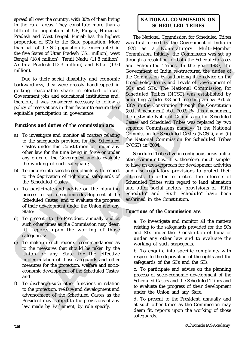spread all over the country, with 80% of them living in the rural areas. They constitute more than a fifth of the population of UP, Punjab, Himachal Pradesh and West Bengal. Punjab has the highest proportion of SCs to the State population. More than half of the SC population is concentrated in the five States of Uttar Pradesh (35.1 million), west Bengal (18.4 million), Tamil Nadu (11.8 million), Andhra Pradesh (12.3 million) and Bihar (13.0 million).

Due to their social disability and economic backwardness, they were grossly handicapped in getting reasonable share in elected offices, Government jobs and educational institutions and, therefore, it was considered necessary to follow a policy of reservations in their favour to ensure their equitable participation in governance.

#### *Functions and duties of the commission are:*

- a) To investigate and monitor all matters relating to the safeguards provided for the Scheduled Castes under this Constitution or under any other law for the time being in force or under any order of the Government and to evaluate the working of such safeguard;
- b) To inquire into specific complaints with respect to the deprivation of rights and safeguards of the Scheduled Castes;
- c) To participate and advise on the planning process of socio-economic development of the Scheduled Castes and to evaluate the progress of their development under the Union and any State;
- d) To present to the President, annually and at such other times as the Commission may deem fit, reports upon the working of those safeguards;
- e) To make in such reports recommendations as to the measures that should be taken by the Union or any State for the effective implementation of those safeguards and other measures for the protection, welfare and socioeconomic development of the Scheduled Castes; and
- f) To discharge such other functions in relation to the protection, welfare and development and advancement of the Scheduled Castes as the President may, subject to the provisions of any law made by Parliament, by rule specify.

# **NATIONAL COMMISSION ON SCHEDULED TRIBES**

Protection and West Bergal, Purpley in the Instanton of SCs to the State population. More use first formed by the Governorm by the Core protection is concerned in 1978 as a Non-ssight operator the first  $\theta$  the State of Level and the solution of the solution of the solution of the solution of the method in the solution of the solution of the solution of the solution of the solution of the solution of the solution of the solution of the s The National Commission for Scheduled Tribes was first formed by the Government of India in 1978 as a Non-statutory Multi-Member Commission. Initially, the Commission was set up through a resolution for both the Scheduled Castes and Scheduled Tribes. In the year 1987, the Government of India re-structured the duties of the Commission by authorizing it to advice on the Broad Policy Issues and Levels of Development of SCs and STs. The National Commission for Scheduled Tribes (NCST) was established by amending Article 338 and inserting a new Article 338A in the Constitution through the Constitution (89th Amendment) Act, 2003. By this amendment, the erstwhile National Commission for Scheduled Castes and Scheduled Tribes was replaced by two separate Commissions namely- (i) the National Commission for Scheduled Castes (NCSC), and (ii) the National Commission for Scheduled Tribes (NCST) in 2004.

Scheduled Tribes live in contiguous areas unlike other communities. It is, therefore, much simpler to have an area-approach for development activities and also regulatory provisions to protect their interests. In order to protect the interests of Scheduled Tribes with regard to land alienation and other social factors, provisions of "Fifth Schedule" and "Sixth Schedule" have been enshrined in the Constitution.

## *Functions of the Commission are:*

a. To investigate and monitor all the matters relating to the safeguards provided for the SCs and STs under the Constitution of India or under any other law and to evaluate the working of such scapegoats.

b. To enquire into specific complaints with respect to the deprivation of the rights and the safeguards of the SCs and the STs.

c. To participate and advise on the planning process of socio-economic development of the Scheduled Castes and the Scheduled Tribes and to evaluate the progress of their development under the Union and any State.

d. To present to the President, annually and at such other times as the Commission may deem fit, reports upon the working of those safeguards.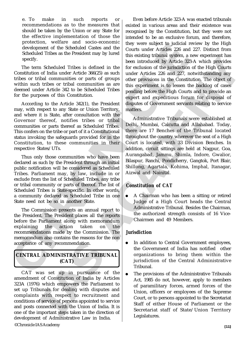e. To make in such reports or recommendations as to the measures that should be taken by the Union or any State for the effective implementation of those the protection, welfare and socio-economic development of the Scheduled Castes and the Scheduled Tribes as the President may by lured specify.

The term Scheduled Tribes is defined in the Constitution of India under Article 366(25) as such tribes or tribal communities or parts of groups within such tribes or tribal communities as are deemed under Article 342 to be Scheduled Tribes for the purposes of this Constitution.

According to the Article 342(1), the President may, with respect to any State or Union Territory, and where it is State, after consultation with the Governor thereof, notifies tribes or tribal communities or parts thereof as Scheduled Tribes. This confers on the tribe or part of it a Constitutional status invoking the safeguards provided for in the Constitution, to these communities in their respective States/UTs.

rectedured the Scheduled Case and the Courts under Articles 226 and<br>Scheduled Tribes as the President may by lured the Courts under Articles 226 and<br>Scheduled Tribes as the President may by lured the constant of the axis<br>s Thus only those communities who have been declared as such by the President through an initial public notification will be considered as Scheduled Tribes. Parliament may, by law, include in or exclude from the list of Scheduled Tribes, any tribe or tribal community or parts of thereof. The list of Scheduled Tribes is State-specific. In other words, a community declared as Scheduled Tribe in one State need not be so in another State.

The Commission presents an annual report to the President. The President places all the reports before the Parliament along with memorandum explaining the action taken on the recommendations made by the Commission. The memorandum also contains the reasons for the non acceptance of any recommendation.

# **CENTRAL ADMINISTRATIVE TRIBUNAL (CAT)**

©Chronicle IAS Academy CAT was set up in pursuance of the amendment of Constitution of India by Articles 323A (1976) which empowers the Parliament to set up Tribunals for dealing with disputes and complaints with respect to recruitment and conditions of service of persons appointed to service and posts connected with the Union of India. It is one of the important steps taken in the direction of development of Administrative Law in India.

Even before Article 323-A was enacted tribunals existed in various areas and their existence was recognised by the Constitution, but they were not intended to be an exclusive forum, and therefore, they were subject to judicial review by the High Courts under Articles 226 and 227. Distinct from this existing tribunal system, a new experiment has been introduced by Article 323-A which provides for exclusion of the jurisdiction of the High Courts under Articles 226 and 227, notwithstanding any other provisions in the Constitution. The object of this experiment is to lessen the backlog of cases pending before the High Courts and to provide an expert and expeditious forum for disposal of disputes of Government servants relating to service matters.

In Scheduled Tribus is defined in the Search into the spin and Naturaly and Manuschies and the control of the control of the first control of the spin and the spin and the spin and the spin and the spin and the spin and t Administrative Tribunals were established at Delhi, Mumbai, Calcutta and Allahabad. Today, there are 17 Benches of the Tribunal located throughout the country wherever the seat of a High Court is located, with 33 Division Benches. In addition, circuit sittings are held at Nagpur, Goa, Aurangabad, Jammu, Shimla, Indore, Gwalior, Bilaspur, Ranchi, Pondicherry, Gangtok, Port Blair, Shillong, Agartala, Kohima, Imphal, Itanagar, Aizwal and Nainital.

# *Constitution of CAT*

● A Chairman who has been a sitting or retired Judge of a High Court heads the Central Administrative Tribunal. Besides the Chairman, the authorized strength consists of 16 Vice-Chairmen and 49 Members.

## *Jurisdiction*

- In addition to Central Government employees, the Government of India has notified other organizations to bring them within the jurisdiction of the Central Administrative Tribunal.
- The provisions of the Administrative Tribunals Act, 1985 do not, however, apply to members of paramilitary forces, armed forces of the Union, officers or employees of the Supreme Court, or to persons appointed to the Secretariat Staff of either House of Parliament or the Secretariat staff of State/Union Territory Legislatures.